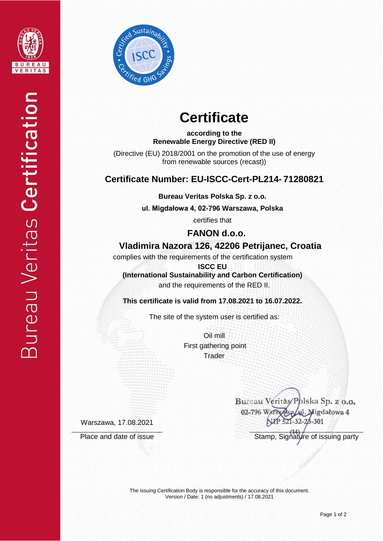



# **Certificate**

**according to the Renewable Energy Directive (RED II)**

(Directive (EU) 2018/2001 on the promotion of the use of energy from renewable sources (recast))

## **Certificate Number: EU-ISCC-Cert-PL214- 71280821**

**Bureau Veritas Polska Sp. z o.o.**

**ul. Migdałowa 4, 02-796 Warszawa, Polska** 

certifies that

 **FANON d.o.o.**

## **Vladimira Nazora 126, 42206 Petrijanec, Croatia**

complies with the requirements of the certification system

**ISCC EU (International Sustainability and Carbon Certification)** and the requirements of the RED II.

**This certificate is valid from 17.08.2021 to 16.07.2022.**

The site of the system user is certified as:

Oil mill First gathering point **Trader** 

Warszawa, 17.08.2021

Bureau Veritas/Polska Sp. z o.o. 02-796 Warst Migdałowa 4 301

Place and date of issue Stamp, Signature of issuing party

The issuing Certification Body is responsible for the accuracy of this document. Version / Date: 1 (no adjustments) / 17.08.2021